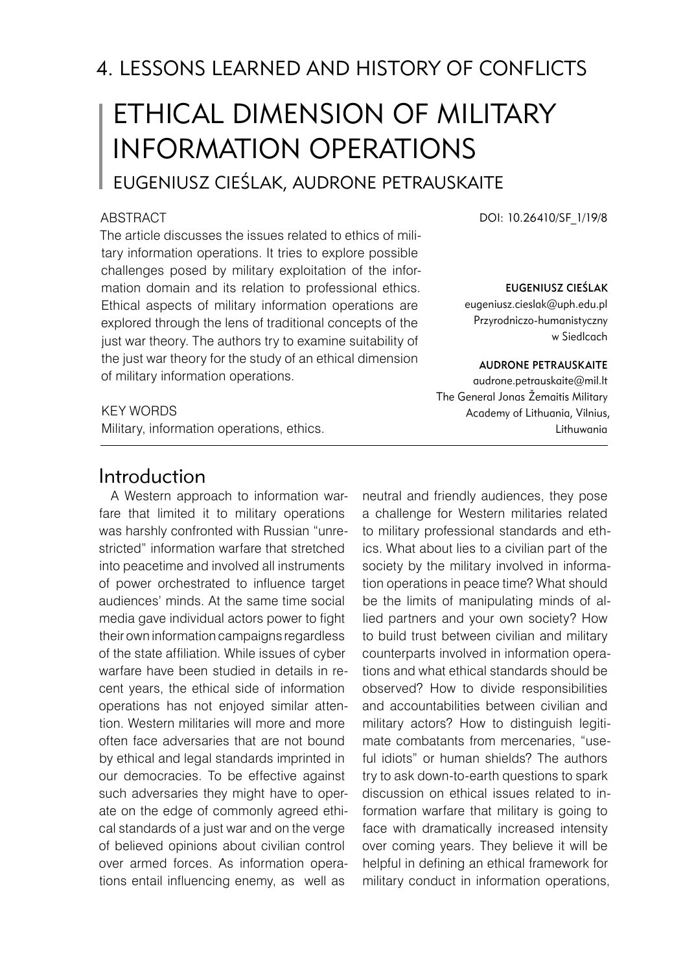# 4. LESSONS LEARNED AND HISTORY OF CONFLICTS

# Ethical Dimension of Military Information Operations

# Eugeniusz Cieślak, Audrone Petrauskaite

#### **ABSTRACT**

The article discusses the issues related to ethics of military information operations. It tries to explore possible challenges posed by military exploitation of the information domain and its relation to professional ethics. Ethical aspects of military information operations are explored through the lens of traditional concepts of the just war theory. The authors try to examine suitability of the just war theory for the study of an ethical dimension of military information operations.

DOI: 10.26410/SF\_1/19/8

#### Eugeniusz Cieślak

eugeniusz.cieslak@uph.edu.pl Przyrodniczo-humanistyczny w Siedlcach

#### Audrone Petrauskaite

audrone.petrauskaite@mil.lt The General Jonas Žemaitis Military Academy of Lithuania, Vilnius, Lithuwania

#### KEY WORDS

Military, information operations, ethics.

### Introduction

A Western approach to information warfare that limited it to military operations was harshly confronted with Russian "unrestricted" information warfare that stretched into peacetime and involved all instruments of power orchestrated to influence target audiences' minds. At the same time social media gave individual actors power to fight their own information campaigns regardless of the state affiliation. While issues of cyber warfare have been studied in details in recent years, the ethical side of information operations has not enjoyed similar attention. Western militaries will more and more often face adversaries that are not bound by ethical and legal standards imprinted in our democracies. To be effective against such adversaries they might have to operate on the edge of commonly agreed ethical standards of a just war and on the verge of believed opinions about civilian control over armed forces. As information operations entail influencing enemy, as well as

neutral and friendly audiences, they pose a challenge for Western militaries related to military professional standards and ethics. What about lies to a civilian part of the society by the military involved in information operations in peace time? What should be the limits of manipulating minds of allied partners and your own society? How to build trust between civilian and military counterparts involved in information operations and what ethical standards should be observed? How to divide responsibilities and accountabilities between civilian and military actors? How to distinguish legitimate combatants from mercenaries, "useful idiots" or human shields? The authors try to ask down-to-earth questions to spark discussion on ethical issues related to information warfare that military is going to face with dramatically increased intensity over coming years. They believe it will be helpful in defining an ethical framework for military conduct in information operations,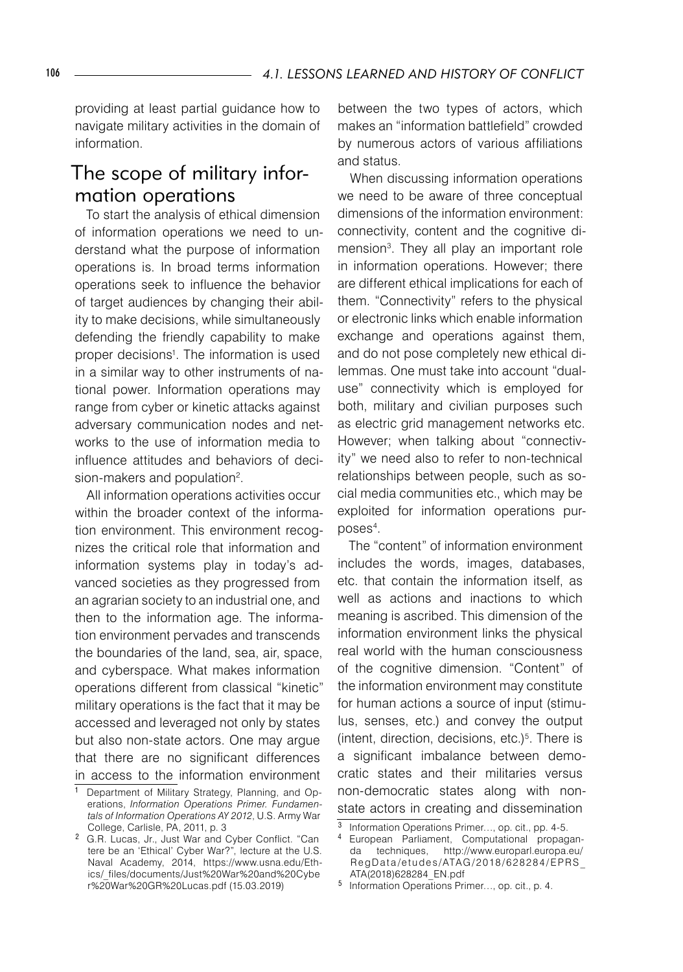providing at least partial guidance how to navigate military activities in the domain of information.

## The scope of military information operations

To start the analysis of ethical dimension of information operations we need to understand what the purpose of information operations is. In broad terms information operations seek to influence the behavior of target audiences by changing their ability to make decisions, while simultaneously defending the friendly capability to make proper decisions<sup>1</sup>. The information is used in a similar way to other instruments of national power. Information operations may range from cyber or kinetic attacks against adversary communication nodes and networks to the use of information media to influence attitudes and behaviors of decision-makers and population<sup>2</sup>.

All information operations activities occur within the broader context of the information environment. This environment recognizes the critical role that information and information systems play in today's advanced societies as they progressed from an agrarian society to an industrial one, and then to the information age. The information environment pervades and transcends the boundaries of the land, sea, air, space, and cyberspace. What makes information operations different from classical "kinetic" military operations is the fact that it may be accessed and leveraged not only by states but also non-state actors. One may argue that there are no significant differences in access to the information environment

between the two types of actors, which makes an "information battlefield" crowded by numerous actors of various affiliations and status.

When discussing information operations we need to be aware of three conceptual dimensions of the information environment: connectivity, content and the cognitive dimension3 . They all play an important role in information operations. However; there are different ethical implications for each of them. "Connectivity" refers to the physical or electronic links which enable information exchange and operations against them, and do not pose completely new ethical dilemmas. One must take into account "dualuse" connectivity which is employed for both, military and civilian purposes such as electric grid management networks etc. However; when talking about "connectivity" we need also to refer to non-technical relationships between people, such as social media communities etc., which may be exploited for information operations pur- $\mathsf{poses}^4$ .

The "content" of information environment includes the words, images, databases, etc. that contain the information itself, as well as actions and inactions to which meaning is ascribed. This dimension of the information environment links the physical real world with the human consciousness of the cognitive dimension. "Content" of the information environment may constitute for human actions a source of input (stimulus, senses, etc.) and convey the output (intent, direction, decisions, etc.)<sup>5</sup>. There is a significant imbalance between democratic states and their militaries versus non-democratic states along with nonstate actors in creating and dissemination

Department of Military Strategy, Planning, and Operations, *Information Operations Primer. Fundamentals of Information Operations AY 2012*, U.S. Army War College, Carlisle, PA, 2011, p. 3

G.R. Lucas, Jr., Just War and Cyber Conflict. "Can tere be an 'Ethical' Cyber War?", lecture at the U.S. Naval Academy, 2014, https://www.usna.edu/Ethics/\_files/documents/Just%20War%20and%20Cybe r%20War%20GR%20Lucas.pdf (15.03.2019)

<sup>3</sup> Information Operations Primer..., op. cit., pp. 4-5.

European Parliament, Computational propaganda techniques, http://www.europarl.europa.eu/ R e g D a t a /e t u d e s /ATAG / 2 018 / 6 2 8 2 8 4 / E P R S \_ ATA(2018)628284\_EN.pdf

<sup>&</sup>lt;sup>5</sup> Information Operations Primer..., op. cit., p. 4.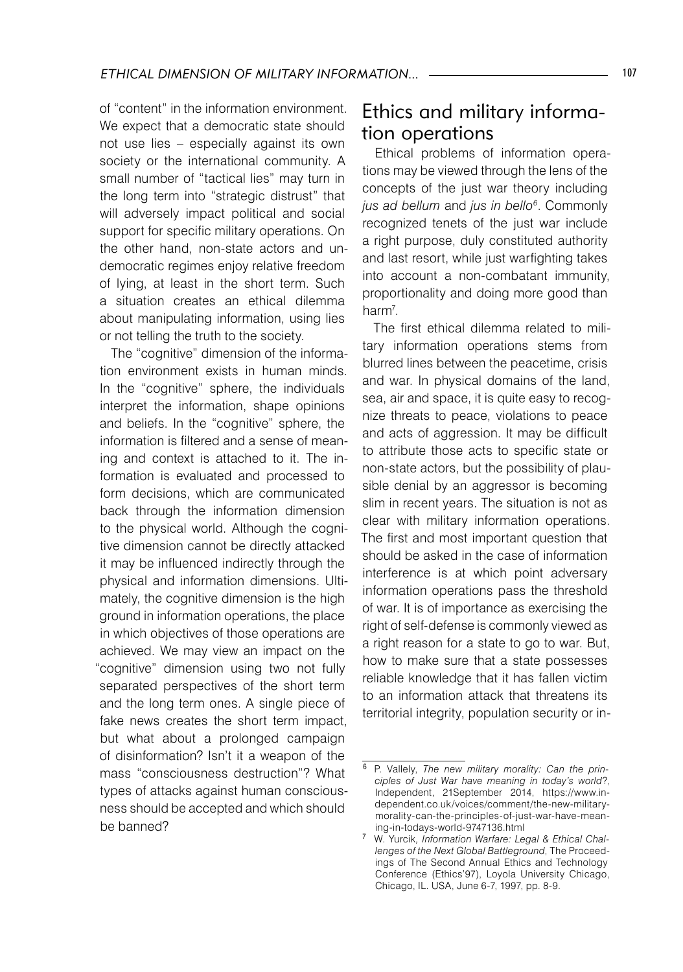of "content" in the information environment. We expect that a democratic state should not use lies – especially against its own society or the international community. A small number of "tactical lies" may turn in the long term into "strategic distrust" that will adversely impact political and social support for specific military operations. On the other hand, non-state actors and undemocratic regimes enjoy relative freedom of lying, at least in the short term. Such a situation creates an ethical dilemma about manipulating information, using lies or not telling the truth to the society.

The "cognitive" dimension of the information environment exists in human minds. In the "cognitive" sphere, the individuals interpret the information, shape opinions and beliefs. In the "cognitive" sphere, the information is filtered and a sense of meaning and context is attached to it. The information is evaluated and processed to form decisions, which are communicated back through the information dimension to the physical world. Although the cognitive dimension cannot be directly attacked it may be influenced indirectly through the physical and information dimensions. Ultimately, the cognitive dimension is the high ground in information operations, the place in which objectives of those operations are achieved. We may view an impact on the "cognitive" dimension using two not fully separated perspectives of the short term and the long term ones. A single piece of fake news creates the short term impact, but what about a prolonged campaign of disinformation? Isn't it a weapon of the mass "consciousness destruction"? What types of attacks against human consciousness should be accepted and which should be banned?

# Ethics and military information operations

Ethical problems of information operations may be viewed through the lens of the concepts of the just war theory including *jus ad bellum* and *jus in bello<sup>6</sup>*. Commonly recognized tenets of the just war include a right purpose, duly constituted authority and last resort, while just warfighting takes into account a non-combatant immunity, proportionality and doing more good than harm<sup>7</sup>.

The first ethical dilemma related to military information operations stems from blurred lines between the peacetime, crisis and war. In physical domains of the land, sea, air and space, it is quite easy to recognize threats to peace, violations to peace and acts of aggression. It may be difficult to attribute those acts to specific state or non-state actors, but the possibility of plausible denial by an aggressor is becoming slim in recent years. The situation is not as clear with military information operations. The first and most important question that should be asked in the case of information interference is at which point adversary information operations pass the threshold of war. It is of importance as exercising the right of self-defense is commonly viewed as a right reason for a state to go to war. But, how to make sure that a state possesses reliable knowledge that it has fallen victim to an information attack that threatens its territorial integrity, population security or in-

P. Vallely, *The new military morality: Can the principles of Just War have meaning in today's world*?, Independent, 21September 2014, https://www.independent.co.uk/voices/comment/the-new-militarymorality-can-the-principles-of-just-war-have-meaning-in-todays-world-9747136.html

W. Yurcik*, Information Warfare: Legal & Ethical Challenges of the Next Global Battleground*, The Proceedings of The Second Annual Ethics and Technology Conference (Ethics'97), Loyola University Chicago, Chicago, IL. USA, June 6-7, 1997, pp. 8-9.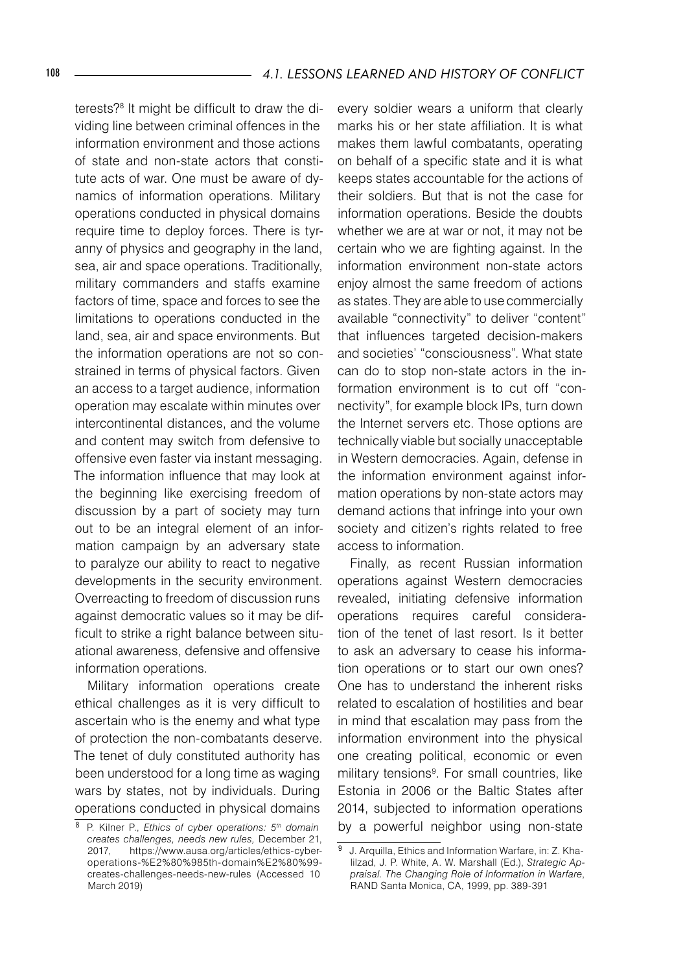terests?8 It might be difficult to draw the dividing line between criminal offences in the information environment and those actions of state and non-state actors that constitute acts of war. One must be aware of dynamics of information operations. Military operations conducted in physical domains require time to deploy forces. There is tyranny of physics and geography in the land, sea, air and space operations. Traditionally, military commanders and staffs examine factors of time, space and forces to see the limitations to operations conducted in the land, sea, air and space environments. But the information operations are not so constrained in terms of physical factors. Given an access to a target audience, information operation may escalate within minutes over intercontinental distances, and the volume and content may switch from defensive to offensive even faster via instant messaging. The information influence that may look at the beginning like exercising freedom of discussion by a part of society may turn out to be an integral element of an information campaign by an adversary state to paralyze our ability to react to negative developments in the security environment. Overreacting to freedom of discussion runs against democratic values so it may be difficult to strike a right balance between situational awareness, defensive and offensive information operations.

Military information operations create ethical challenges as it is very difficult to ascertain who is the enemy and what type of protection the non-combatants deserve. The tenet of duly constituted authority has been understood for a long time as waging wars by states, not by individuals. During operations conducted in physical domains

every soldier wears a uniform that clearly marks his or her state affiliation. It is what makes them lawful combatants, operating on behalf of a specific state and it is what keeps states accountable for the actions of their soldiers. But that is not the case for information operations. Beside the doubts whether we are at war or not, it may not be certain who we are fighting against. In the information environment non-state actors enjoy almost the same freedom of actions as states. They are able to use commercially available "connectivity" to deliver "content" that influences targeted decision-makers and societies' "consciousness". What state can do to stop non-state actors in the information environment is to cut off "connectivity", for example block IPs, turn down the Internet servers etc. Those options are technically viable but socially unacceptable in Western democracies. Again, defense in the information environment against information operations by non-state actors may demand actions that infringe into your own society and citizen's rights related to free access to information.

Finally, as recent Russian information operations against Western democracies revealed, initiating defensive information operations requires careful consideration of the tenet of last resort. Is it better to ask an adversary to cease his information operations or to start our own ones? One has to understand the inherent risks related to escalation of hostilities and bear in mind that escalation may pass from the information environment into the physical one creating political, economic or even military tensions<sup>9</sup>. For small countries, like Estonia in 2006 or the Baltic States after 2014, subjected to information operations by a powerful neighbor using non-state

P. Kilner P., *Ethics of cyber operations: 5th domain creates challenges, needs new rules,* December 21, 2017, https://www.ausa.org/articles/ethics-cyberoperations-%E2%80%985th-domain%E2%80%99 creates-challenges-needs-new-rules (Accessed 10 March 2019)

<sup>9</sup> J. Arquilla, Ethics and Information Warfare, in: Z. Khalilzad, J. P. White, A. W. Marshall (Ed.), *Strategic Appraisal. The Changing Role of Information in Warfare*, RAND Santa Monica, CA, 1999, pp. 389-391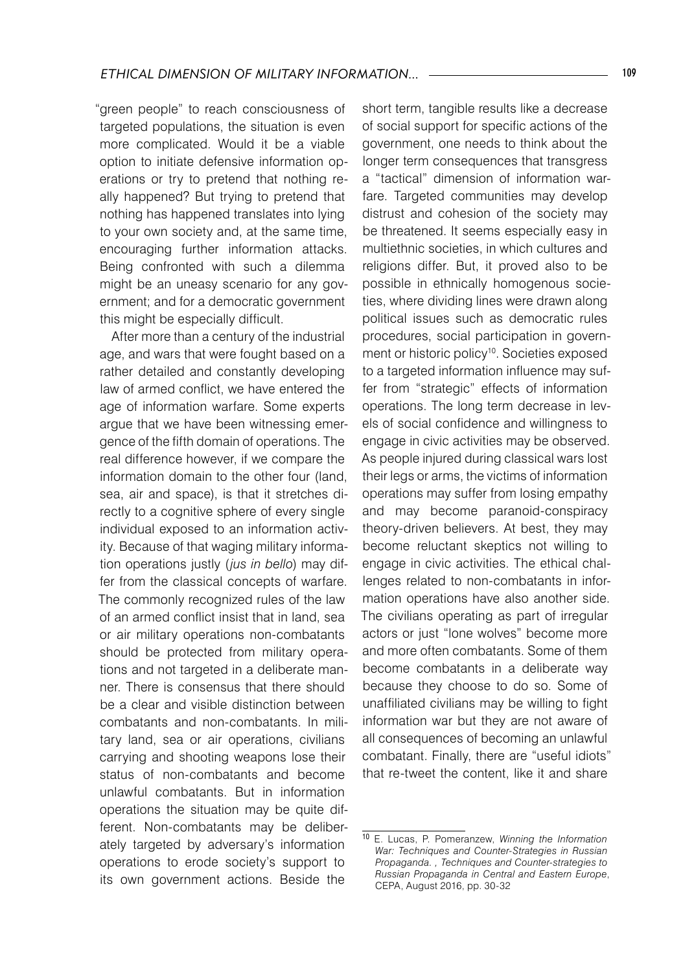"green people" to reach consciousness of targeted populations, the situation is even more complicated. Would it be a viable option to initiate defensive information operations or try to pretend that nothing really happened? But trying to pretend that nothing has happened translates into lying to your own society and, at the same time, encouraging further information attacks. Being confronted with such a dilemma might be an uneasy scenario for any government; and for a democratic government this might be especially difficult.

After more than a century of the industrial age, and wars that were fought based on a rather detailed and constantly developing law of armed conflict, we have entered the age of information warfare. Some experts argue that we have been witnessing emergence of the fifth domain of operations. The real difference however, if we compare the information domain to the other four (land, sea, air and space), is that it stretches directly to a cognitive sphere of every single individual exposed to an information activity. Because of that waging military information operations justly (*jus in bello*) may differ from the classical concepts of warfare. The commonly recognized rules of the law of an armed conflict insist that in land, sea or air military operations non-combatants should be protected from military operations and not targeted in a deliberate manner. There is consensus that there should be a clear and visible distinction between combatants and non-combatants. In military land, sea or air operations, civilians carrying and shooting weapons lose their status of non-combatants and become unlawful combatants. But in information operations the situation may be quite different. Non-combatants may be deliberately targeted by adversary's information operations to erode society's support to its own government actions. Beside the

short term, tangible results like a decrease of social support for specific actions of the government, one needs to think about the longer term consequences that transgress a "tactical" dimension of information warfare. Targeted communities may develop distrust and cohesion of the society may be threatened. It seems especially easy in multiethnic societies, in which cultures and religions differ. But, it proved also to be possible in ethnically homogenous societies, where dividing lines were drawn along political issues such as democratic rules procedures, social participation in government or historic policy<sup>10</sup>. Societies exposed to a targeted information influence may suffer from "strategic" effects of information operations. The long term decrease in levels of social confidence and willingness to engage in civic activities may be observed. As people injured during classical wars lost their legs or arms, the victims of information operations may suffer from losing empathy and may become paranoid-conspiracy theory-driven believers. At best, they may become reluctant skeptics not willing to engage in civic activities. The ethical challenges related to non-combatants in information operations have also another side. The civilians operating as part of irregular actors or just "lone wolves" become more and more often combatants. Some of them become combatants in a deliberate way because they choose to do so. Some of unaffiliated civilians may be willing to fight information war but they are not aware of all consequences of becoming an unlawful combatant. Finally, there are "useful idiots" that re-tweet the content, like it and share

<sup>10</sup> E. Lucas, P. Pomeranzew, *Winning the Information War: Techniques and Counter-Strategies in Russian Propaganda. , Techniques and Counter-strategies to Russian Propaganda in Central and Eastern Europe*, CEPA, August 2016, pp. 30-32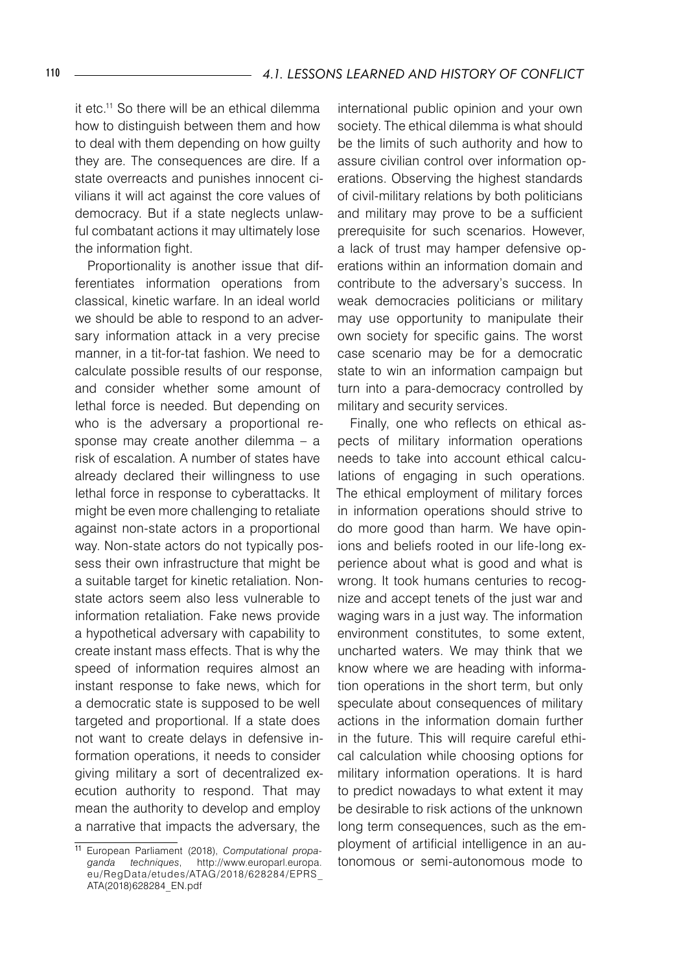it etc.11 So there will be an ethical dilemma how to distinguish between them and how to deal with them depending on how guilty they are. The consequences are dire. If a state overreacts and punishes innocent civilians it will act against the core values of democracy. But if a state neglects unlawful combatant actions it may ultimately lose the information fight.

Proportionality is another issue that differentiates information operations from classical, kinetic warfare. In an ideal world we should be able to respond to an adversary information attack in a very precise manner, in a tit-for-tat fashion. We need to calculate possible results of our response, and consider whether some amount of lethal force is needed. But depending on who is the adversary a proportional response may create another dilemma – a risk of escalation. A number of states have already declared their willingness to use lethal force in response to cyberattacks. It might be even more challenging to retaliate against non-state actors in a proportional way. Non-state actors do not typically possess their own infrastructure that might be a suitable target for kinetic retaliation. Nonstate actors seem also less vulnerable to information retaliation. Fake news provide a hypothetical adversary with capability to create instant mass effects. That is why the speed of information requires almost an instant response to fake news, which for a democratic state is supposed to be well targeted and proportional. If a state does not want to create delays in defensive information operations, it needs to consider giving military a sort of decentralized execution authority to respond. That may mean the authority to develop and employ a narrative that impacts the adversary, the

international public opinion and your own society. The ethical dilemma is what should be the limits of such authority and how to assure civilian control over information operations. Observing the highest standards of civil-military relations by both politicians and military may prove to be a sufficient prerequisite for such scenarios. However, a lack of trust may hamper defensive operations within an information domain and contribute to the adversary's success. In weak democracies politicians or military may use opportunity to manipulate their own society for specific gains. The worst case scenario may be for a democratic state to win an information campaign but turn into a para-democracy controlled by military and security services.

Finally, one who reflects on ethical aspects of military information operations needs to take into account ethical calculations of engaging in such operations. The ethical employment of military forces in information operations should strive to do more good than harm. We have opinions and beliefs rooted in our life-long experience about what is good and what is wrong. It took humans centuries to recognize and accept tenets of the just war and waging wars in a just way. The information environment constitutes, to some extent, uncharted waters. We may think that we know where we are heading with information operations in the short term, but only speculate about consequences of military actions in the information domain further in the future. This will require careful ethical calculation while choosing options for military information operations. It is hard to predict nowadays to what extent it may be desirable to risk actions of the unknown long term consequences, such as the employment of artificial intelligence in an autonomous or semi-autonomous mode to

<sup>11</sup> European Parliament (2018), *Computational propaganda techniques*, http://www.europarl.europa. eu/RegData/etudes/ATAG/2018/628284/EPRS\_ ATA(2018)628284\_EN.pdf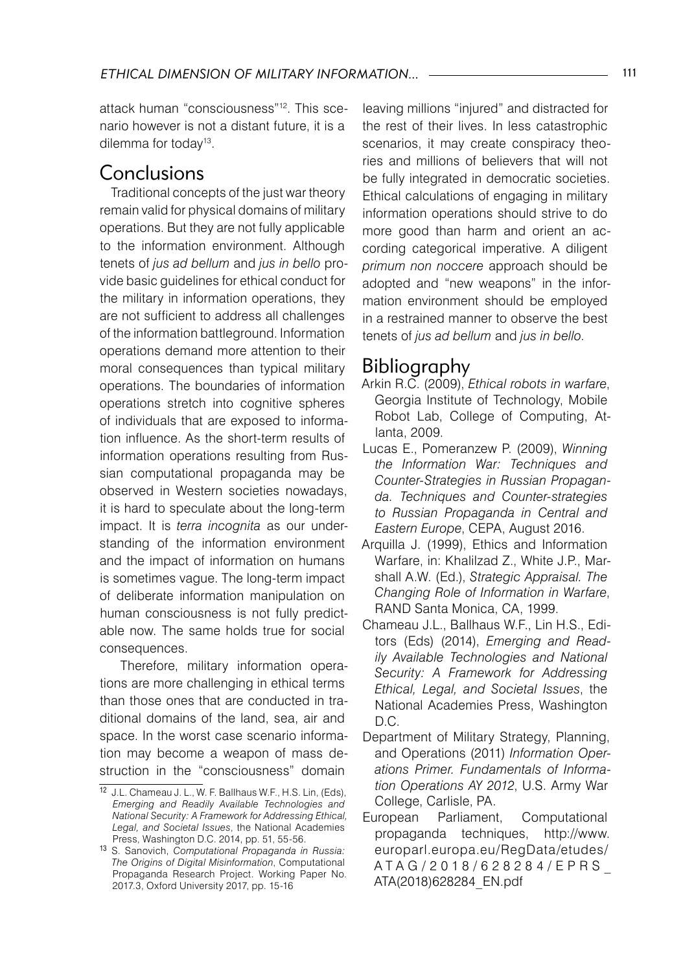attack human "consciousness"12. This scenario however is not a distant future, it is a dilemma for today<sup>13</sup>.

### **Conclusions**

Traditional concepts of the just war theory remain valid for physical domains of military operations. But they are not fully applicable to the information environment. Although tenets of *jus ad bellum* and *jus in bello* provide basic guidelines for ethical conduct for the military in information operations, they are not sufficient to address all challenges of the information battleground. Information operations demand more attention to their moral consequences than typical military operations. The boundaries of information operations stretch into cognitive spheres of individuals that are exposed to information influence. As the short-term results of information operations resulting from Russian computational propaganda may be observed in Western societies nowadays, it is hard to speculate about the long-term impact. It is *terra incognita* as our understanding of the information environment and the impact of information on humans is sometimes vague. The long-term impact of deliberate information manipulation on human consciousness is not fully predictable now. The same holds true for social consequences.

Therefore, military information operations are more challenging in ethical terms than those ones that are conducted in traditional domains of the land, sea, air and space. In the worst case scenario information may become a weapon of mass destruction in the "consciousness" domain

leaving millions "injured" and distracted for the rest of their lives. In less catastrophic scenarios, it may create conspiracy theories and millions of believers that will not be fully integrated in democratic societies. Ethical calculations of engaging in military information operations should strive to do more good than harm and orient an according categorical imperative. A diligent *primum non noccere* approach should be adopted and "new weapons" in the information environment should be employed in a restrained manner to observe the best tenets of *jus ad bellum* and *jus in bello*.

### Bibliography

- Arkin R.C. (2009), *Ethical robots in warfare*, Georgia Institute of Technology, Mobile Robot Lab, College of Computing, Atlanta, 2009.
- Lucas E., Pomeranzew P. (2009), *Winning the Information War: Techniques and Counter-Strategies in Russian Propaganda. Techniques and Counter-strategies to Russian Propaganda in Central and Eastern Europe*, CEPA, August 2016.
- Arquilla J. (1999), Ethics and Information Warfare, in: Khalilzad Z., White J.P., Marshall A.W. (Ed.), *Strategic Appraisal. The Changing Role of Information in Warfare*, RAND Santa Monica, CA, 1999.
- Chameau J.L., Ballhaus W.F., Lin H.S., Editors (Eds) (2014), *Emerging and Readily Available Technologies and National Security: A Framework for Addressing Ethical, Legal, and Societal Issues*, the National Academies Press, Washington D.C.
- Department of Military Strategy, Planning, and Operations (2011) *Information Operations Primer. Fundamentals of Information Operations AY 2012*, U.S. Army War College, Carlisle, PA.
- European Parliament, Computational propaganda techniques, http://www. europarl.europa.eu/RegData/etudes/ A T A G / 2 0 1 8 / 6 2 8 2 8 4 / E P R S \_ ATA(2018)628284\_EN.pdf

<sup>12</sup> J.L. Chameau J. L., W. F. Ballhaus W.F., H.S. Lin, (Eds), *Emerging and Readily Available Technologies and National Security: A Framework for Addressing Ethical, Legal, and Societal Issues*, the National Academies Press, Washington D.C. 2014, pp. 51, 55-56.

<sup>13</sup> S. Sanovich, *Computational Propaganda in Russia: The Origins of Digital Misinformation*, Computational Propaganda Research Project. Working Paper No. 2017.3, Oxford University 2017, pp. 15-16